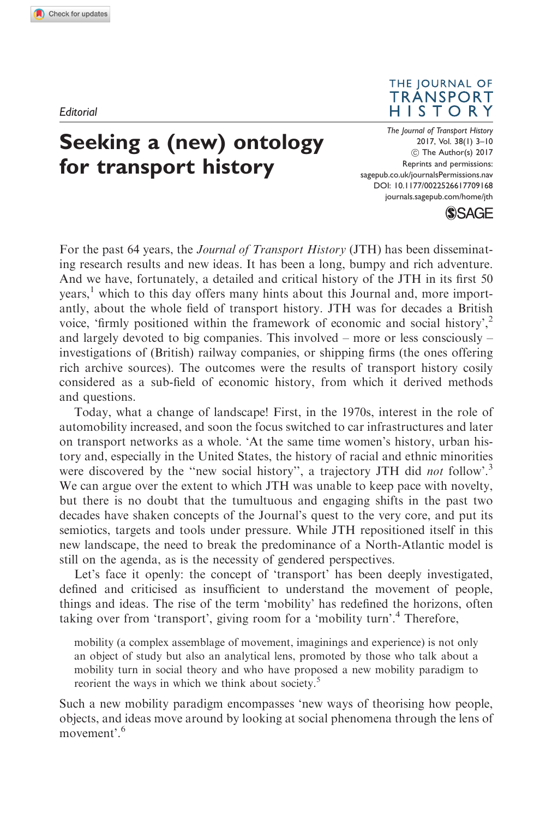**Editorial** 

## THE JOURNAL OF **TRANSPORT** HISTORY

# Seeking a (new) ontology for transport history

The Journal of Transport History 2017, Vol. 38(1) 3–10 (C) The Author(s) 2017 Reprints and permissions: [sagepub.co.uk/journalsPermissions.nav](https://uk.sagepub.com/en-gb/journals-permissions) DOI: [10.1177/0022526617709168](https://doi.org/10.1177/0022526617709168) <journals.sagepub.com/home/jth>



For the past 64 years, the *Journal of Transport History* (JTH) has been disseminating research results and new ideas. It has been a long, bumpy and rich adventure. And we have, fortunately, a detailed and critical history of the JTH in its first 50 years,<sup>1</sup> which to this day offers many hints about this Journal and, more importantly, about the whole field of transport history. JTH was for decades a British voice, 'firmly positioned within the framework of economic and social history',<sup>2</sup> and largely devoted to big companies. This involved – more or less consciously – investigations of (British) railway companies, or shipping firms (the ones offering rich archive sources). The outcomes were the results of transport history cosily considered as a sub-field of economic history, from which it derived methods and questions.

Today, what a change of landscape! First, in the 1970s, interest in the role of automobility increased, and soon the focus switched to car infrastructures and later on transport networks as a whole. 'At the same time women's history, urban history and, especially in the United States, the history of racial and ethnic minorities were discovered by the "new social history", a trajectory JTH did *not* follow'.<sup>3</sup> We can argue over the extent to which JTH was unable to keep pace with novelty, but there is no doubt that the tumultuous and engaging shifts in the past two decades have shaken concepts of the Journal's quest to the very core, and put its semiotics, targets and tools under pressure. While JTH repositioned itself in this new landscape, the need to break the predominance of a North-Atlantic model is still on the agenda, as is the necessity of gendered perspectives.

Let's face it openly: the concept of 'transport' has been deeply investigated, defined and criticised as insufficient to understand the movement of people, things and ideas. The rise of the term 'mobility' has redefined the horizons, often taking over from 'transport', giving room for a 'mobility turn'.<sup>4</sup> Therefore,

mobility (a complex assemblage of movement, imaginings and experience) is not only an object of study but also an analytical lens, promoted by those who talk about a mobility turn in social theory and who have proposed a new mobility paradigm to reorient the ways in which we think about society.<sup>5</sup>

Such a new mobility paradigm encompasses 'new ways of theorising how people, objects, and ideas move around by looking at social phenomena through the lens of movement'.<sup>6</sup>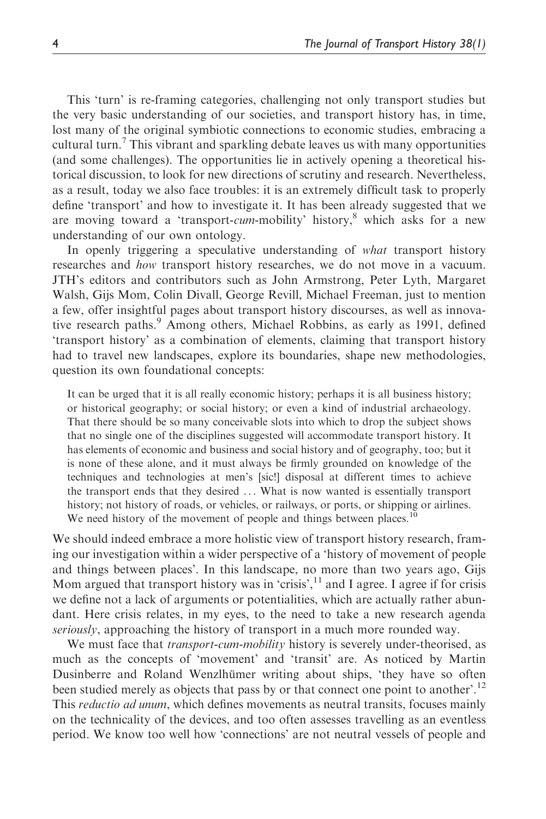This 'turn' is re-framing categories, challenging not only transport studies but the very basic understanding of our societies, and transport history has, in time, lost many of the original symbiotic connections to economic studies, embracing a cultural turn.<sup>7</sup> This vibrant and sparkling debate leaves us with many opportunities (and some challenges). The opportunities lie in actively opening a theoretical historical discussion, to look for new directions of scrutiny and research. Nevertheless, as a result, today we also face troubles: it is an extremely difficult task to properly define 'transport' and how to investigate it. It has been already suggested that we are moving toward a 'transport-cum-mobility' history,  $\frac{8}{3}$  which asks for a new understanding of our own ontology.

In openly triggering a speculative understanding of what transport history researches and how transport history researches, we do not move in a vacuum. JTH's editors and contributors such as John Armstrong, Peter Lyth, Margaret Walsh, Gijs Mom, Colin Divall, George Revill, Michael Freeman, just to mention a few, offer insightful pages about transport history discourses, as well as innovative research paths.<sup>9</sup> Among others, Michael Robbins, as early as 1991, defined 'transport history' as a combination of elements, claiming that transport history had to travel new landscapes, explore its boundaries, shape new methodologies, question its own foundational concepts:

It can be urged that it is all really economic history; perhaps it is all business history; or historical geography; or social history; or even a kind of industrial archaeology. That there should be so many conceivable slots into which to drop the subject shows that no single one of the disciplines suggested will accommodate transport history. It has elements of economic and business and social history and of geography, too; but it is none of these alone, and it must always be firmly grounded on knowledge of the techniques and technologies at men's [sic!] disposal at different times to achieve the transport ends that they desired ... What is now wanted is essentially transport history; not history of roads, or vehicles, or railways, or ports, or shipping or airlines. We need history of the movement of people and things between places.<sup>10</sup>

We should indeed embrace a more holistic view of transport history research, framing our investigation within a wider perspective of a 'history of movement of people and things between places'. In this landscape, no more than two years ago, Gijs Mom argued that transport history was in 'crisis', $<sup>11</sup>$  and I agree. I agree if for crisis</sup> we define not a lack of arguments or potentialities, which are actually rather abundant. Here crisis relates, in my eyes, to the need to take a new research agenda seriously, approaching the history of transport in a much more rounded way.

We must face that *transport-cum-mobility* history is severely under-theorised, as much as the concepts of 'movement' and 'transit' are. As noticed by Martin Dusinberre and Roland Wenzlhümer writing about ships, 'they have so often been studied merely as objects that pass by or that connect one point to another'.<sup>12</sup> This *reductio ad unum*, which defines movements as neutral transits, focuses mainly on the technicality of the devices, and too often assesses travelling as an eventless period. We know too well how 'connections' are not neutral vessels of people and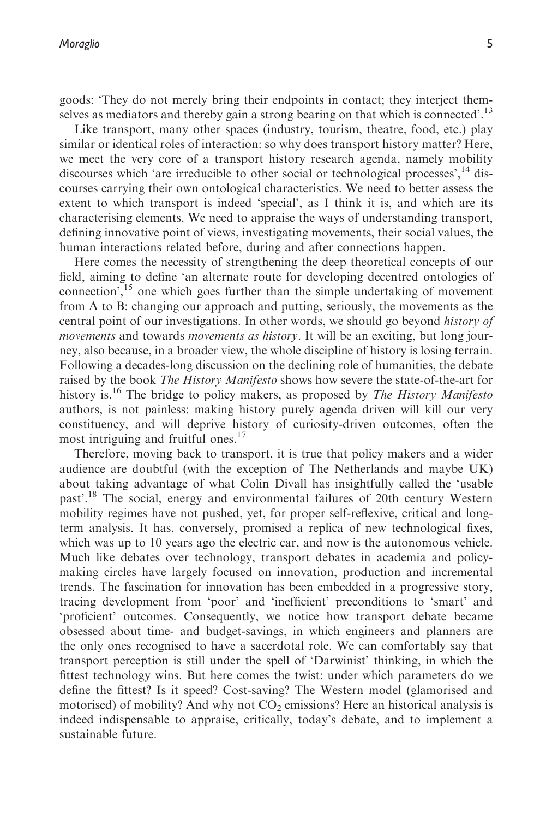goods: 'They do not merely bring their endpoints in contact; they interject themselves as mediators and thereby gain a strong bearing on that which is connected'.<sup>13</sup>

Like transport, many other spaces (industry, tourism, theatre, food, etc.) play similar or identical roles of interaction: so why does transport history matter? Here, we meet the very core of a transport history research agenda, namely mobility discourses which 'are irreducible to other social or technological processes',<sup>14</sup> discourses carrying their own ontological characteristics. We need to better assess the extent to which transport is indeed 'special', as I think it is, and which are its characterising elements. We need to appraise the ways of understanding transport, defining innovative point of views, investigating movements, their social values, the human interactions related before, during and after connections happen.

Here comes the necessity of strengthening the deep theoretical concepts of our field, aiming to define 'an alternate route for developing decentred ontologies of connection', $15$  one which goes further than the simple undertaking of movement from A to B: changing our approach and putting, seriously, the movements as the central point of our investigations. In other words, we should go beyond history of movements and towards movements as history. It will be an exciting, but long journey, also because, in a broader view, the whole discipline of history is losing terrain. Following a decades-long discussion on the declining role of humanities, the debate raised by the book *The History Manifesto* shows how severe the state-of-the-art for history is.<sup>16</sup> The bridge to policy makers, as proposed by *The History Manifesto* authors, is not painless: making history purely agenda driven will kill our very constituency, and will deprive history of curiosity-driven outcomes, often the most intriguing and fruitful ones.<sup>17</sup>

Therefore, moving back to transport, it is true that policy makers and a wider audience are doubtful (with the exception of The Netherlands and maybe UK) about taking advantage of what Colin Divall has insightfully called the 'usable past'.<sup>18</sup> The social, energy and environmental failures of 20th century Western mobility regimes have not pushed, yet, for proper self-reflexive, critical and longterm analysis. It has, conversely, promised a replica of new technological fixes, which was up to 10 years ago the electric car, and now is the autonomous vehicle. Much like debates over technology, transport debates in academia and policymaking circles have largely focused on innovation, production and incremental trends. The fascination for innovation has been embedded in a progressive story, tracing development from 'poor' and 'inefficient' preconditions to 'smart' and 'proficient' outcomes. Consequently, we notice how transport debate became obsessed about time- and budget-savings, in which engineers and planners are the only ones recognised to have a sacerdotal role. We can comfortably say that transport perception is still under the spell of 'Darwinist' thinking, in which the fittest technology wins. But here comes the twist: under which parameters do we define the fittest? Is it speed? Cost-saving? The Western model (glamorised and motorised) of mobility? And why not  $CO<sub>2</sub>$  emissions? Here an historical analysis is indeed indispensable to appraise, critically, today's debate, and to implement a sustainable future.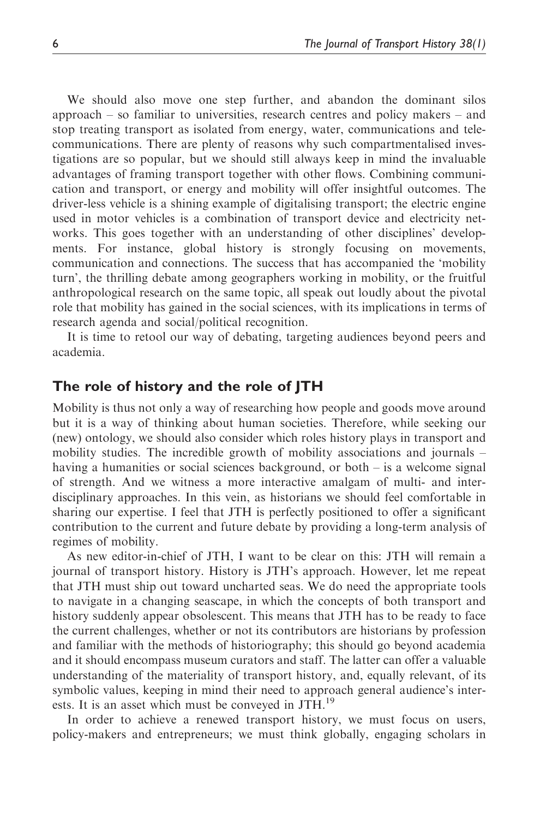We should also move one step further, and abandon the dominant silos approach – so familiar to universities, research centres and policy makers – and stop treating transport as isolated from energy, water, communications and telecommunications. There are plenty of reasons why such compartmentalised investigations are so popular, but we should still always keep in mind the invaluable advantages of framing transport together with other flows. Combining communication and transport, or energy and mobility will offer insightful outcomes. The driver-less vehicle is a shining example of digitalising transport; the electric engine used in motor vehicles is a combination of transport device and electricity networks. This goes together with an understanding of other disciplines' developments. For instance, global history is strongly focusing on movements, communication and connections. The success that has accompanied the 'mobility turn', the thrilling debate among geographers working in mobility, or the fruitful anthropological research on the same topic, all speak out loudly about the pivotal role that mobility has gained in the social sciences, with its implications in terms of research agenda and social/political recognition.

It is time to retool our way of debating, targeting audiences beyond peers and academia.

# The role of history and the role of JTH

Mobility is thus not only a way of researching how people and goods move around but it is a way of thinking about human societies. Therefore, while seeking our (new) ontology, we should also consider which roles history plays in transport and mobility studies. The incredible growth of mobility associations and journals – having a humanities or social sciences background, or both – is a welcome signal of strength. And we witness a more interactive amalgam of multi- and interdisciplinary approaches. In this vein, as historians we should feel comfortable in sharing our expertise. I feel that JTH is perfectly positioned to offer a significant contribution to the current and future debate by providing a long-term analysis of regimes of mobility.

As new editor-in-chief of JTH, I want to be clear on this: JTH will remain a journal of transport history. History is JTH's approach. However, let me repeat that JTH must ship out toward uncharted seas. We do need the appropriate tools to navigate in a changing seascape, in which the concepts of both transport and history suddenly appear obsolescent. This means that JTH has to be ready to face the current challenges, whether or not its contributors are historians by profession and familiar with the methods of historiography; this should go beyond academia and it should encompass museum curators and staff. The latter can offer a valuable understanding of the materiality of transport history, and, equally relevant, of its symbolic values, keeping in mind their need to approach general audience's interests. It is an asset which must be conveyed in JTH.<sup>19</sup>

In order to achieve a renewed transport history, we must focus on users, policy-makers and entrepreneurs; we must think globally, engaging scholars in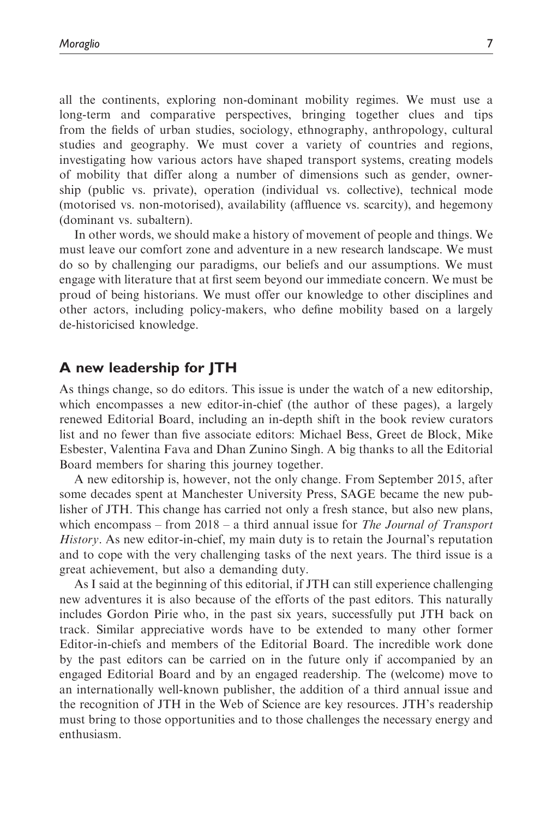all the continents, exploring non-dominant mobility regimes. We must use a long-term and comparative perspectives, bringing together clues and tips from the fields of urban studies, sociology, ethnography, anthropology, cultural studies and geography. We must cover a variety of countries and regions, investigating how various actors have shaped transport systems, creating models of mobility that differ along a number of dimensions such as gender, ownership (public vs. private), operation (individual vs. collective), technical mode (motorised vs. non-motorised), availability (affluence vs. scarcity), and hegemony (dominant vs. subaltern).

In other words, we should make a history of movement of people and things. We must leave our comfort zone and adventure in a new research landscape. We must do so by challenging our paradigms, our beliefs and our assumptions. We must engage with literature that at first seem beyond our immediate concern. We must be proud of being historians. We must offer our knowledge to other disciplines and other actors, including policy-makers, who define mobility based on a largely de-historicised knowledge.

### A new leadership for JTH

As things change, so do editors. This issue is under the watch of a new editorship, which encompasses a new editor-in-chief (the author of these pages), a largely renewed Editorial Board, including an in-depth shift in the book review curators list and no fewer than five associate editors: Michael Bess, Greet de Block, Mike Esbester, Valentina Fava and Dhan Zunino Singh. A big thanks to all the Editorial Board members for sharing this journey together.

A new editorship is, however, not the only change. From September 2015, after some decades spent at Manchester University Press, SAGE became the new publisher of JTH. This change has carried not only a fresh stance, but also new plans, which encompass – from  $2018 - a$  third annual issue for *The Journal of Transport* History. As new editor-in-chief, my main duty is to retain the Journal's reputation and to cope with the very challenging tasks of the next years. The third issue is a great achievement, but also a demanding duty.

As I said at the beginning of this editorial, if JTH can still experience challenging new adventures it is also because of the efforts of the past editors. This naturally includes Gordon Pirie who, in the past six years, successfully put JTH back on track. Similar appreciative words have to be extended to many other former Editor-in-chiefs and members of the Editorial Board. The incredible work done by the past editors can be carried on in the future only if accompanied by an engaged Editorial Board and by an engaged readership. The (welcome) move to an internationally well-known publisher, the addition of a third annual issue and the recognition of JTH in the Web of Science are key resources. JTH's readership must bring to those opportunities and to those challenges the necessary energy and enthusiasm.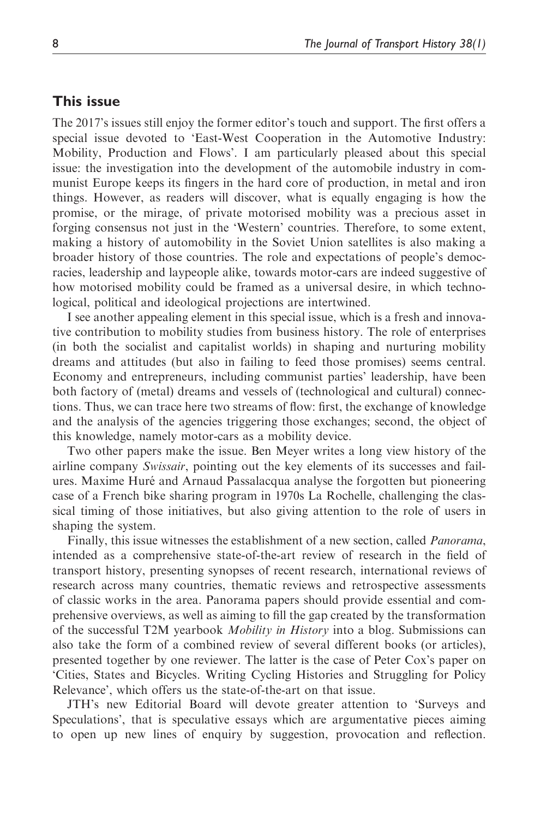# This issue

The 2017's issues still enjoy the former editor's touch and support. The first offers a special issue devoted to 'East-West Cooperation in the Automotive Industry: Mobility, Production and Flows'. I am particularly pleased about this special issue: the investigation into the development of the automobile industry in communist Europe keeps its fingers in the hard core of production, in metal and iron things. However, as readers will discover, what is equally engaging is how the promise, or the mirage, of private motorised mobility was a precious asset in forging consensus not just in the 'Western' countries. Therefore, to some extent, making a history of automobility in the Soviet Union satellites is also making a broader history of those countries. The role and expectations of people's democracies, leadership and laypeople alike, towards motor-cars are indeed suggestive of how motorised mobility could be framed as a universal desire, in which technological, political and ideological projections are intertwined.

I see another appealing element in this special issue, which is a fresh and innovative contribution to mobility studies from business history. The role of enterprises (in both the socialist and capitalist worlds) in shaping and nurturing mobility dreams and attitudes (but also in failing to feed those promises) seems central. Economy and entrepreneurs, including communist parties' leadership, have been both factory of (metal) dreams and vessels of (technological and cultural) connections. Thus, we can trace here two streams of flow: first, the exchange of knowledge and the analysis of the agencies triggering those exchanges; second, the object of this knowledge, namely motor-cars as a mobility device.

Two other papers make the issue. Ben Meyer writes a long view history of the airline company Swissair, pointing out the key elements of its successes and failures. Maxime Huré and Arnaud Passalacqua analyse the forgotten but pioneering case of a French bike sharing program in 1970s La Rochelle, challenging the classical timing of those initiatives, but also giving attention to the role of users in shaping the system.

Finally, this issue witnesses the establishment of a new section, called Panorama, intended as a comprehensive state-of-the-art review of research in the field of transport history, presenting synopses of recent research, international reviews of research across many countries, thematic reviews and retrospective assessments of classic works in the area. Panorama papers should provide essential and comprehensive overviews, as well as aiming to fill the gap created by the transformation of the successful T2M yearbook Mobility in History into a blog. Submissions can also take the form of a combined review of several different books (or articles), presented together by one reviewer. The latter is the case of Peter Cox's paper on 'Cities, States and Bicycles. Writing Cycling Histories and Struggling for Policy Relevance', which offers us the state-of-the-art on that issue.

JTH's new Editorial Board will devote greater attention to 'Surveys and Speculations', that is speculative essays which are argumentative pieces aiming to open up new lines of enquiry by suggestion, provocation and reflection.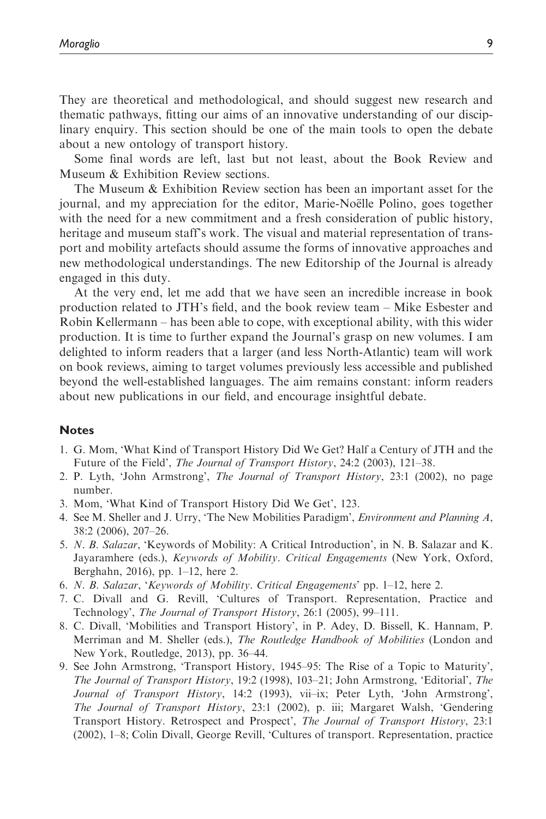They are theoretical and methodological, and should suggest new research and thematic pathways, fitting our aims of an innovative understanding of our disciplinary enquiry. This section should be one of the main tools to open the debate about a new ontology of transport history.

Some final words are left, last but not least, about the Book Review and Museum & Exhibition Review sections.

The Museum & Exhibition Review section has been an important asset for the journal, and my appreciation for the editor, Marie-Noëlle Polino, goes together with the need for a new commitment and a fresh consideration of public history, heritage and museum staff's work. The visual and material representation of transport and mobility artefacts should assume the forms of innovative approaches and new methodological understandings. The new Editorship of the Journal is already engaged in this duty.

At the very end, let me add that we have seen an incredible increase in book production related to JTH's field, and the book review team – Mike Esbester and Robin Kellermann – has been able to cope, with exceptional ability, with this wider production. It is time to further expand the Journal's grasp on new volumes. I am delighted to inform readers that a larger (and less North-Atlantic) team will work on book reviews, aiming to target volumes previously less accessible and published beyond the well-established languages. The aim remains constant: inform readers about new publications in our field, and encourage insightful debate.

#### Notes

- 1. G. Mom, 'What Kind of Transport History Did We Get? Half a Century of JTH and the Future of the Field', The Journal of Transport History, 24:2 (2003), 121-38.
- 2. P. Lyth, 'John Armstrong', The Journal of Transport History, 23:1 (2002), no page number.
- 3. Mom, 'What Kind of Transport History Did We Get', 123.
- 4. See M. Sheller and J. Urry, 'The New Mobilities Paradigm', Environment and Planning A, 38:2 (2006), 207–26.
- 5. N. B. Salazar, 'Keywords of Mobility: A Critical Introduction', in N. B. Salazar and K. Jayaramhere (eds.), Keywords of Mobility. Critical Engagements (New York, Oxford, Berghahn, 2016), pp. 1–12, here 2.
- 6. N. B. Salazar, 'Keywords of Mobility. Critical Engagements' pp. 1–12, here 2.
- 7. C. Divall and G. Revill, 'Cultures of Transport. Representation, Practice and Technology', The Journal of Transport History, 26:1 (2005), 99–111.
- 8. C. Divall, 'Mobilities and Transport History', in P. Adey, D. Bissell, K. Hannam, P. Merriman and M. Sheller (eds.), The Routledge Handbook of Mobilities (London and New York, Routledge, 2013), pp. 36–44.
- 9. See John Armstrong, 'Transport History, 1945–95: The Rise of a Topic to Maturity', The Journal of Transport History, 19:2 (1998), 103–21; John Armstrong, 'Editorial', The Journal of Transport History, 14:2 (1993), vii–ix; Peter Lyth, 'John Armstrong', The Journal of Transport History, 23:1 (2002), p. iii; Margaret Walsh, 'Gendering Transport History. Retrospect and Prospect', The Journal of Transport History, 23:1 (2002), 1–8; Colin Divall, George Revill, 'Cultures of transport. Representation, practice